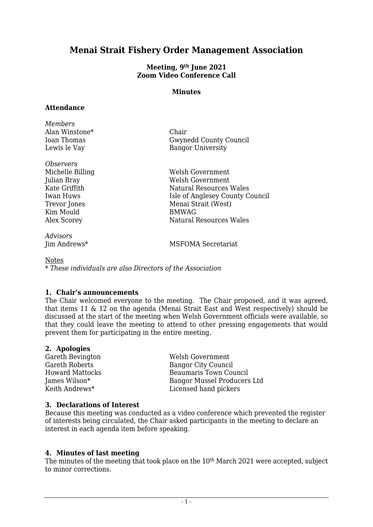# **Menai Strait Fishery Order Management Association**

#### **Meeting, 9 th June 2021 Zoom Video Conference Call**

#### **Minutes**

#### **Attendance**

| Members        |                          |
|----------------|--------------------------|
| Alan Winstone* | Chair                    |
| Ioan Thomas    | Gwynedd County Council   |
| Lewis le Vay   | <b>Bangor University</b> |
|                |                          |

*Observers* Kim Mould

*Advisors*

Michelle Billing Welsh Government Julian Bray Welsh Government Kate Griffith Natural Resources Wales Iwan Huws Isle of Anglesey County Council Trevor Jones Menai Strait (West)<br>
Kim Mould BMWAG Alex Scorey Natural Resources Wales

MSFOMA Secretariat

Notes

*\* These individuals are also Directors of the Association*

# **1. Chair's announcements**

The Chair welcomed everyone to the meeting. The Chair proposed, and it was agreed, that items 11 & 12 on the agenda (Menai Strait East and West respectively) should be discussed at the start of the meeting when Welsh Government officials were available, so that they could leave the meeting to attend to other pressing engagements that would prevent them for participating in the entire meeting.

# **2. Apologies**

Gareth Bevington<br>
Gareth Roberts<br>
Gareth Roberts<br>
Gareth Roberts<br>
Gareth Roberts Bangor City Council Howard Mattocks Beaumaris Town Council James Wilson\* Bangor Mussel Producers Ltd Keith Andrews\* Licensed hand pickers

#### **3. Declarations of Interest**

Because this meeting was conducted as a video conference which prevented the register of interests being circulated, the Chair asked participants in the meeting to declare an interest in each agenda item before speaking.

# **4. Minutes of last meeting**

The minutes of the meeting that took place on the 10<sup>th</sup> March 2021 were accepted, subject to minor corrections.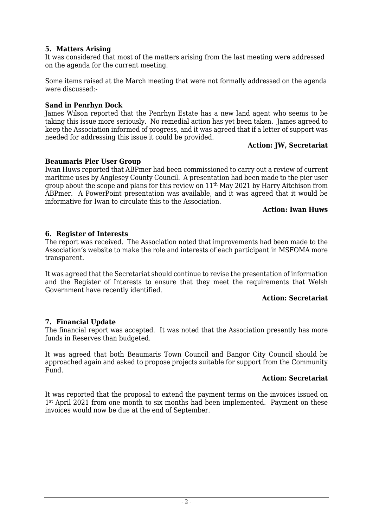# **5. Matters Arising**

It was considered that most of the matters arising from the last meeting were addressed on the agenda for the current meeting.

Some items raised at the March meeting that were not formally addressed on the agenda were discussed:-

#### **Sand in Penrhyn Dock**

James Wilson reported that the Penrhyn Estate has a new land agent who seems to be taking this issue more seriously. No remedial action has yet been taken. James agreed to keep the Association informed of progress, and it was agreed that if a letter of support was needed for addressing this issue it could be provided.

#### **Action: JW, Secretariat**

#### **Beaumaris Pier User Group**

Iwan Huws reported that ABPmer had been commissioned to carry out a review of current maritime uses by Anglesey County Council. A presentation had been made to the pier user group about the scope and plans for this review on 11th May 2021 by Harry Aitchison from ABPmer. A PowerPoint presentation was available, and it was agreed that it would be informative for Iwan to circulate this to the Association.

#### **Action: Iwan Huws**

#### **6. Register of Interests**

The report was received. The Association noted that improvements had been made to the Association's website to make the role and interests of each participant in MSFOMA more transparent.

It was agreed that the Secretariat should continue to revise the presentation of information and the Register of Interests to ensure that they meet the requirements that Welsh Government have recently identified.

#### **Action: Secretariat**

#### **7. Financial Update**

The financial report was accepted. It was noted that the Association presently has more funds in Reserves than budgeted.

It was agreed that both Beaumaris Town Council and Bangor City Council should be approached again and asked to propose projects suitable for support from the Community Fund.

#### **Action: Secretariat**

It was reported that the proposal to extend the payment terms on the invoices issued on 1st April 2021 from one month to six months had been implemented. Payment on these invoices would now be due at the end of September.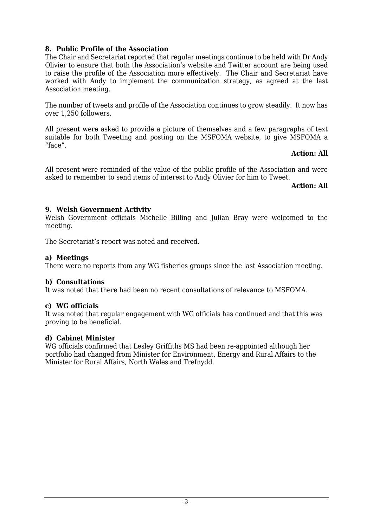# **8. Public Profile of the Association**

The Chair and Secretariat reported that regular meetings continue to be held with Dr Andy Olivier to ensure that both the Association's website and Twitter account are being used to raise the profile of the Association more effectively. The Chair and Secretariat have worked with Andy to implement the communication strategy, as agreed at the last Association meeting.

The number of tweets and profile of the Association continues to grow steadily. It now has over 1,250 followers.

All present were asked to provide a picture of themselves and a few paragraphs of text suitable for both Tweeting and posting on the MSFOMA website, to give MSFOMA a "face".

#### **Action: All**

All present were reminded of the value of the public profile of the Association and were asked to remember to send items of interest to Andy Olivier for him to Tweet.

**Action: All**

#### **9. Welsh Government Activity**

Welsh Government officials Michelle Billing and Julian Bray were welcomed to the meeting.

The Secretariat's report was noted and received.

# **a) Meetings**

There were no reports from any WG fisheries groups since the last Association meeting.

# **b) Consultations**

It was noted that there had been no recent consultations of relevance to MSFOMA.

#### **c) WG officials**

It was noted that regular engagement with WG officials has continued and that this was proving to be beneficial.

#### **d) Cabinet Minister**

WG officials confirmed that Lesley Griffiths MS had been re-appointed although her portfolio had changed from Minister for Environment, Energy and Rural Affairs to the Minister for Rural Affairs, North Wales and Trefnydd.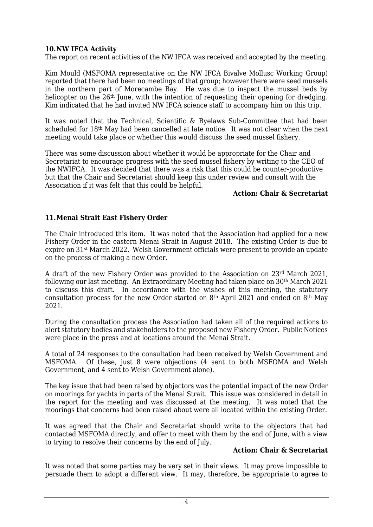# **10.NW IFCA Activity**

The report on recent activities of the NW IFCA was received and accepted by the meeting.

Kim Mould (MSFOMA representative on the NW IFCA Bivalve Mollusc Working Group) reported that there had been no meetings of that group; however there were seed mussels in the northern part of Morecambe Bay. He was due to inspect the mussel beds by helicopter on the 26<sup>th</sup> June, with the intention of requesting their opening for dredging. Kim indicated that he had invited NW IFCA science staff to accompany him on this trip.

It was noted that the Technical, Scientific & Byelaws Sub-Committee that had been scheduled for 18th May had been cancelled at late notice. It was not clear when the next meeting would take place or whether this would discuss the seed mussel fishery.

There was some discussion about whether it would be appropriate for the Chair and Secretariat to encourage progress with the seed mussel fishery by writing to the CEO of the NWIFCA. It was decided that there was a risk that this could be counter-productive but that the Chair and Secretariat should keep this under review and consult with the Association if it was felt that this could be helpful.

#### **Action: Chair & Secretariat**

# **11.Menai Strait East Fishery Order**

The Chair introduced this item. It was noted that the Association had applied for a new Fishery Order in the eastern Menai Strait in August 2018. The existing Order is due to expire on 31st March 2022. Welsh Government officials were present to provide an update on the process of making a new Order.

A draft of the new Fishery Order was provided to the Association on  $23<sup>rd</sup>$  March 2021, following our last meeting. An Extraordinary Meeting had taken place on 30th March 2021 to discuss this draft. In accordance with the wishes of this meeting, the statutory consultation process for the new Order started on 8th April 2021 and ended on 8th May 2021.

During the consultation process the Association had taken all of the required actions to alert statutory bodies and stakeholders to the proposed new Fishery Order. Public Notices were place in the press and at locations around the Menai Strait.

A total of 24 responses to the consultation had been received by Welsh Government and MSFOMA. Of these, just 8 were objections (4 sent to both MSFOMA and Welsh Government, and 4 sent to Welsh Government alone).

The key issue that had been raised by objectors was the potential impact of the new Order on moorings for yachts in parts of the Menai Strait. This issue was considered in detail in the report for the meeting and was discussed at the meeting. It was noted that the moorings that concerns had been raised about were all located within the existing Order.

It was agreed that the Chair and Secretariat should write to the objectors that had contacted MSFOMA directly, and offer to meet with them by the end of June, with a view to trying to resolve their concerns by the end of July.

#### **Action: Chair & Secretariat**

It was noted that some parties may be very set in their views. It may prove impossible to persuade them to adopt a different view. It may, therefore, be appropriate to agree to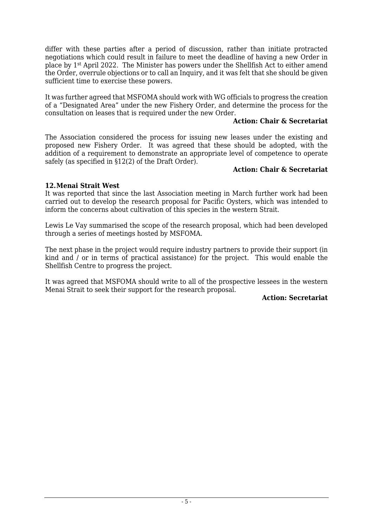differ with these parties after a period of discussion, rather than initiate protracted negotiations which could result in failure to meet the deadline of having a new Order in place by 1st April 2022. The Minister has powers under the Shellfish Act to either amend the Order, overrule objections or to call an Inquiry, and it was felt that she should be given sufficient time to exercise these powers.

It was further agreed that MSFOMA should work with WG officials to progress the creation of a "Designated Area" under the new Fishery Order, and determine the process for the consultation on leases that is required under the new Order.

#### **Action: Chair & Secretariat**

The Association considered the process for issuing new leases under the existing and proposed new Fishery Order. It was agreed that these should be adopted, with the addition of a requirement to demonstrate an appropriate level of competence to operate safely (as specified in §12(2) of the Draft Order).

#### **Action: Chair & Secretariat**

# **12.Menai Strait West**

It was reported that since the last Association meeting in March further work had been carried out to develop the research proposal for Pacific Oysters, which was intended to inform the concerns about cultivation of this species in the western Strait.

Lewis Le Vay summarised the scope of the research proposal, which had been developed through a series of meetings hosted by MSFOMA.

The next phase in the project would require industry partners to provide their support (in kind and / or in terms of practical assistance) for the project. This would enable the Shellfish Centre to progress the project.

It was agreed that MSFOMA should write to all of the prospective lessees in the western Menai Strait to seek their support for the research proposal.

#### **Action: Secretariat**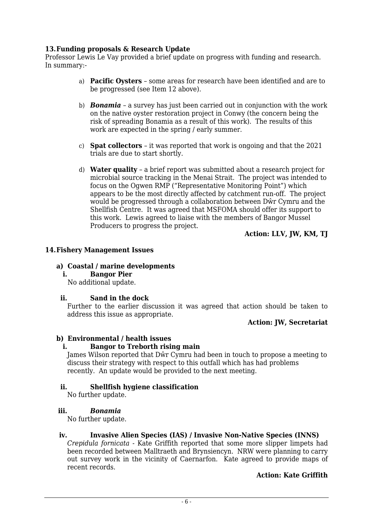# **13.Funding proposals & Research Update**

Professor Lewis Le Vay provided a brief update on progress with funding and research. In summary:-

- a) **Pacific Oysters** some areas for research have been identified and are to be progressed (see Item 12 above).
- b) *Bonamia* a survey has just been carried out in conjunction with the work on the native oyster restoration project in Conwy (the concern being the risk of spreading Bonamia as a result of this work). The results of this work are expected in the spring / early summer.
- c) **Spat collectors** it was reported that work is ongoing and that the 2021 trials are due to start shortly.
- d) **Water quality** a brief report was submitted about a research project for microbial source tracking in the Menai Strait. The project was intended to focus on the Ogwen RMP ("Representative Monitoring Point") which appears to be the most directly affected by catchment run-off. The project would be progressed through a collaboration between Dŵr Cymru and the Shellfish Centre. It was agreed that MSFOMA should offer its support to this work. Lewis agreed to liaise with the members of Bangor Mussel Producers to progress the project.

#### **Action: LLV, JW, KM, TJ**

#### **14.Fishery Management Issues**

#### **a) Coastal / marine developments**

**i. Bangor Pier**

No additional update.

#### **ii. Sand in the dock**

Further to the earlier discussion it was agreed that action should be taken to address this issue as appropriate.

#### **Action: JW, Secretariat**

#### **b) Environmental / health issues**

#### **i. Bangor to Treborth rising main**

James Wilson reported that Dŵr Cymru had been in touch to propose a meeting to discuss their strategy with respect to this outfall which has had problems recently. An update would be provided to the next meeting.

#### **ii. Shellfish hygiene classification**

No further update.

#### **iii.** *Bonamia*

No further update.

#### **iv. Invasive Alien Species (IAS) / Invasive Non-Native Species (INNS)**

*Crepidula fornicata* - Kate Griffith reported that some more slipper limpets had been recorded between Malltraeth and Brynsiencyn. NRW were planning to carry out survey work in the vicinity of Caernarfon. Kate agreed to provide maps of recent records.

#### **Action: Kate Griffith**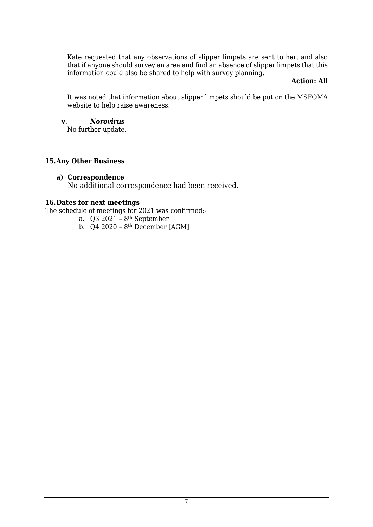Kate requested that any observations of slipper limpets are sent to her, and also that if anyone should survey an area and find an absence of slipper limpets that this information could also be shared to help with survey planning.

#### **Action: All**

It was noted that information about slipper limpets should be put on the MSFOMA website to help raise awareness.

#### **v.** *Norovirus*

No further update.

# **15.Any Other Business**

#### **a) Correspondence**

No additional correspondence had been received.

# **16.Dates for next meetings**

The schedule of meetings for 2021 was confirmed:-

- a.  $Q3 2021 8$ <sup>th</sup> September
- b.  $\alpha$ 4 2020 8<sup>th</sup> December [AGM]